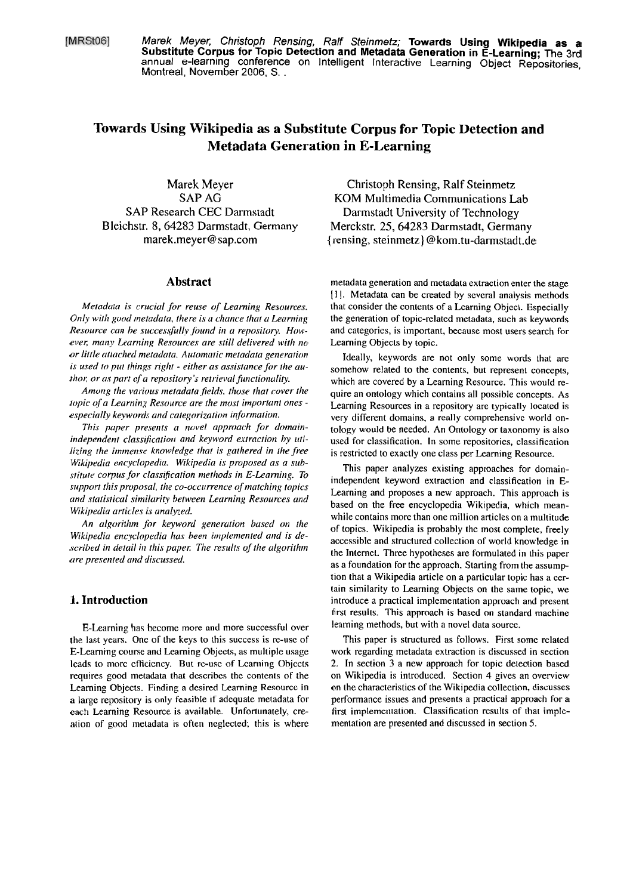[MRSt06]

Marek *Meyer,* Christoph Rensing, Ralf Steinmetz; **Towards Using Wikipedia as a Substitute Corpus for Topic Detection and Metadata Generation in E-Learning;** The 3rd annual e-learning conference on Intelligent Interactive Learning Object Repositories, Montreal, November 2006, S.

# **Towards Using Wikipedia as a Substitute Corpus for Topic Detection and Metadata Generation in E-Learning**

Marek Meyer **SAP** AG **SAP** Research CEC Darmstadt Bleichstr. **8, 64283** Darmstadt, Germany marek.meyer@ sap.com

## **Abstract**

*Metaduta is crucial for reuse of Learning Resources. Only with good metadata, there is a chance that a Learning Resource can be successfully found in a repository. How*ever, many Learning Resources are still delivered with no *or little ntfuched metadutu. Autornutic meluduta generation*  is used to put things right - either as assistance for the au*thor, or as part of a repository's retrieval functionality.* 

Among the various metadata fields, those that cover the *topic of a Learning Resource are the most important ones especiully keywords und cutegorization information.* 

This paper presents a novel approach for domain*independent classification and keyword extraction by uti*lizing the immense knowledge that is gathered in the free Wikipedia encyclopedia. Wikipedia is proposed as a sub*stitute corpus for classijication methods in E-kaming. To*  support this proposal, the co-occurrence of matching topics and statistical similarity between Learning Resources and *Wikipediu urticles is unalyzed.* 

*An olgorithm for keyword generution bused on the*  Wikipedia encyclopedia has been implemented and is de*scribed in detail in this paper. The results of the algorithm are presented and discussed.* 

## **1. Introduction**

E-Learning has become more and more successful over the last years. One of the keys to this success is rc-usc of E-Leaming Course and Learning Objects, as multiple usage lcads to more efficiency. But re-use of Learning Objects requires good metadata that describes the contents of the Leaming Objects. Finding a dcsired Learning Resource in a large repository is only fcasible if adequate metadata for each Learning Resource is available. Unfortunately, creation of good metadata is often neglccted; this is whcrc

Christoph Rensing, Ralf Steinmetz KOM Multimedia Communications Lab Darmstadt University of Technology Merckstr. **25,64283** Darmstadt, Germany { rensing, steinmetz ) @ kom.tu-darmstadt.de

metadata generation and metadata extraction enter the stage [I **1.** Metadata can be created by several analysis methods that consider the contents of a Lcarning Objcct. Especially the generation of topic-related metadata, such as keywords and categories, is important, because most users search for Leaming Objects by topic.

Ideally, kcywords are not only some words that arc somehow related to the contents, but represent concepts, which are covered by a Learning Resource. This would require an ontology which contains all possible concepts. As Learning Resources in a repository are typically located is very different domains, a really comprehensivc world ontology would be needed. An Ontology or taxonomy is also used for classification. In some repositorics, classification is restrictcd to exactly one class per Learning Resource.

This paper analyzes existing approaches for domainindependent keyword extraction and classification in E-Learning and proposes a new approach. This approach is based on the free encyclopedia Wikipedia, which meanwhile contains more than one million articles on a multitude of topics. Wikipedia is probably the most complete, freely accessible and structured collection of world knowledge in the Internet. Three hypotheses are forrnulated in this paper as a foundation for the approach. Starting from the assumption that a Wikipedia article on a particular topic has a ccrtain similarity to Leaming Objects on the same topic, we introduce a practical implementation approach and present first results. This approach is hased on standard machine leaming methods, but with a novel data source.

This paper is structured as follows. First somc related work regarding metadata extraction is discussed in section 2. In section 3 a new approach for topic detection based on Wikipedia is introduced. Section 4 gives an overview on the characteristics of the Wikipedia collection, discusses perforrnance issues and presents a practical approach for a first implementation. Classification results of that implementation are presenied and discussed in section 5.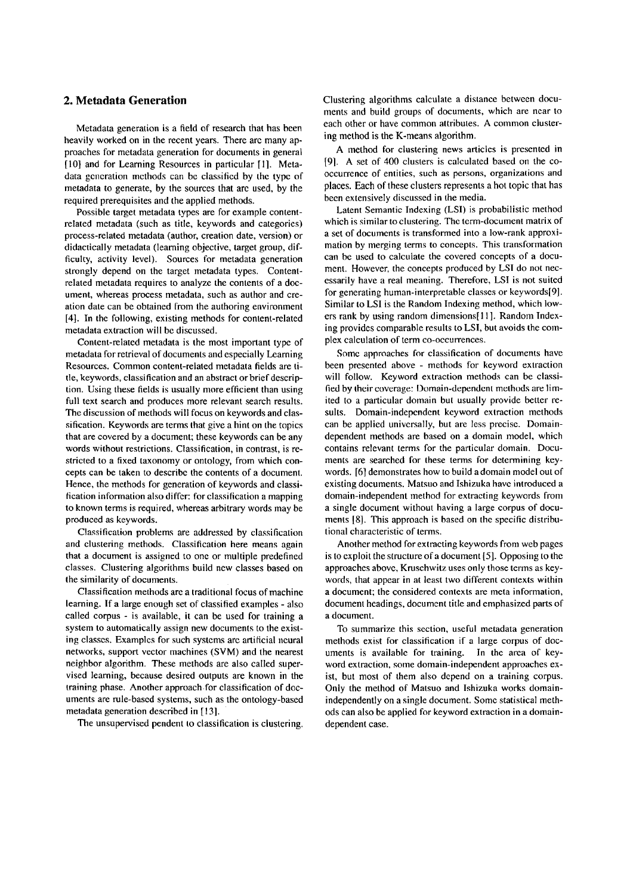## **2. Metadata Generation**

Metadata generation is a field of research that has been heavily worked on in the recent years. There arc many approaches for metadata generation for documents in general [10] and for Learning Resources in particular [1]. Metadata generation methods can be classified by the type of metadata to generate, by the sources that are used, by the required prerequisites and the applied methods.

Possible target metadata types are for example contentrelated metadata (such as title, keywords and categories) process-related metadata (author, creation date, version) or didactically metadata (leaming objective, target group, difficulty, activity level). Sources for metadata generation strongly depend on the target metadata types. Contentrelated metadata requires to analyze the contents of a document, whereas process metadata, such as author and creation date can be obtained From the authoring environment **[4].** In the following, existing methods for content-related metadata extraction will be discussed.

Content-related metadata is the most important type of metadata for retrieval of docurnents and especially Learning Resources. Common content-related metadata fields are title, keywords, classification and an abstract or brief description. Using these fields is usually more efficient than using full text search and produces more relevant search results. The discussion of methods will focus on keywords and classification. Keywords are terms that give a hint on the topics that are covered by a document; these keywords can be any words without restrictions. Classification, in contrast, is restricted to a fixed taxonomy or ontology, from which concepts can be taken to describc the contents of a document. Hence, the methods for generation of keywords and classification information also differ: for classification a mapping to known terms is required, whereas arbitrary words may be produced as keywords.

Classification problems are addressed by classification and clustering methods. Classification here means again that a document is assigned to one or multiple predefined classes. Clustering algorithms build new classes based on the similarity of documents.

Classification methods are a traditional focus of machine learning. If a large enough set of classified examples - also called corpus - is available, it can be used for training a system to automatically assign new documents to the existing classes. Examples for such systems are artificial neural networks, Support vector machines (SVM) and the nearest neighbor algorithm. These methods are also called supervised leaming, because desired outputs are known in the training phase. Another approach for classification of documents are rule-bascd Systems, such as the ontology-based metadata generation described in [ **131.** 

The unsupervised pendent to classification is clustering.

Clustering algorithrns calculate a distance between documents and build groups of documents, which are near to each other or have common attributes. A common clustering method is the K-means algorithm.

A inethod for clustering news articles is prcsented in **[9].** A set of 400 clusters is calculated based on the cooccurrence of entities, such as persons, organizations and places. Each of these clusters represents a hot topic that has been extensively discussed in the media.

Latent Semantic Indexing (LSI) is probabilistic method which is similar to clustering. Thc term-docurnent matrix of a set of documcnts is transformed into a low-rank approximation by merging terms to concepts. This transformation can be used to calculate the covered concepts of a document. However, the concepts produced by LSI do not necessarily have a real meaning. Therefore, LSI is not suited for generating human-interpretable classes or keywords[9]. Similar to LSI is the Random Indexing method, which lowers rank by using random dimensions[l I]. Random Indexing provides comparable results to LSI, but avoids the complex calculation of term co-occurrences.

Some approaches for classification of documents have been presented above - methods for keyword extraction will follow. Keyword extraction methods can be classified by their coverage: Domain-dependent methods are limited to a particular domain but usually provide better results. Domain-independent keyword extraction methods can be applied universally, but are less precise. Domaindependent methods are based on a domain model, which contains relevant terms for the particular domain. Documents are searched for these terms for dctermining keywords. [6] demonstrates how to build a domain model out of existing documents. Matsuo and Ishizuka havc introduced a domain-independent method for extracting keywords from a single document without having a large corpus of documents [8]. This approach is based on the specific distributional characteristic of terms.

Another method for extracting keywords from web pages is to exploit the structure of a document [5]. Opposing to the approaches above, Kruschwitz uses only those terms as keywords, that appear in at least two different contexts within a document; the considered contexts are mcta information, docurnent headings, document title and emphasized parts of a document.

To summarize this section, useful metadata generation methods exist for classification if a large corpus of documents is available for training. In the area of keyword extraction, some domain-independent approaches exist, but most of them also dcpend on a training corpus. Only the method of Matsuo and Ishizuka works domainindependently on a single document. Somc statistical methods can also be applied for keyword extraction in a domaindependent case.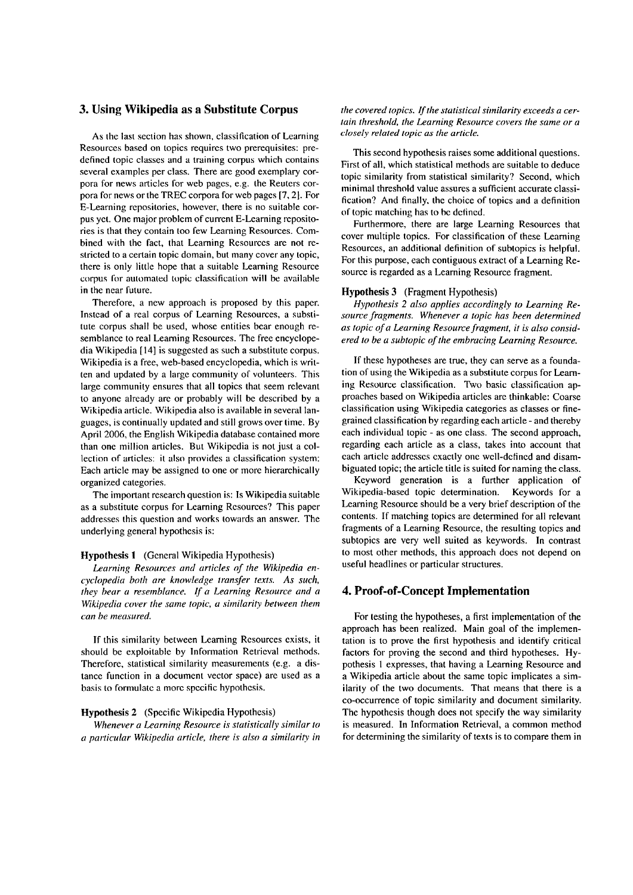## **3. Using Wikipedia as a Substitute Corpus**

As ihe last seciion has shown, classification of Learning Resources based on topics requires two prerequisites: predefined topic classes and a training corpus which contains several examples per class. There are good exemplary corpora for news articles for web pages, e.g. the Reuters corpora for news or the TREC corpora for web pages [7, 2]. For E-Learning repositories, however, there is no suitable corpus yet. One major problem of current E-Learning repositories is that they contain too few Learning Resources. Combined with thc fact, that Learning Resourccs are not rcstricted to a certain topic domain, but many cover any topic, there is only little hope that a suitable Learning Resource corpus for automated topic classification will be available in the near future.

Therefore, a new approach is proposed by this papcr. Instcad of a real corpus of Learning Resources, a substitute corpus shall be used, whose entities bear enough resemblance to real Learning Resources. The free encyclopedia Wikipedia [I41 is suggcsted as such a substitute corpus. Wikipedia is a frec, web-based encyclopedia, which is written and updated by a largc community of volunteers. This large community ensures that all topics that seem relevant to anyone already are or probably will be described by a Wikipedia article. Wikipedia also is available in several languagcs, is continually updated and still grows over time. By April 2006, the English Wikipedia database contained more than one million articles. But Wikipedia is not just a collection of articles: it also provides a classification system: Each article may be assigned to one or more hierarchically organized categories.

The important research question is: 1s Wikipedia suitable as a substitute corpus for Learning Rcsources? This paper addresses this question and works towards an answer. The underlying general hypothesis is:

#### **Hypothesis 1** (General Wikipedia Hypothesis)

Learning Resources and articles of the Wikipedia en*qclopedia both are knowledge transfer rexts. As such,*  they bear a resemblance. If a Learning Resource and a *Wikipedia cover the same topic, a similarity between them cair be ineasured.* 

If this similarity between Leaming Rcsources cxists, it should be exploitablc by Inforination Retricval methods. Therefore, statistical similarity measurements (e.g. a distance function in a document vector space) arc used as a basis to formulatc a morc spccific hypothcsis.

#### **Hypothesis 2** (Specific Wikipedia Hypothesis)

*Whenever a Learning Resource is statistically similar to a particular Wikipedia article, there is also a similarity in*  the covered topics. If the statistical similarity exceeds a cer*tain threshold, the Learning Resource covers the same or a closely reluted topic as the article.* 

This second hypothesis raises some additional questions. First of all, which statistical methods are suitable to deduce topic similarity from statistical similarity? Second, which minimal threshold value assures a sufficient accurate classification? And finally, the choice of topics and a definition of topic matching has to be defined.

Furthermore, there are large Learning Resources that cover multiple topics. For classification of these Leaming Resources, an additional definition of subtopics is helpful. For this purpose, each contiguous extract of a Learning Resource is regarded as a Learning Resource fragment.

#### **Hypothesis 3** (Fragment Hypothesis)

*Hypothesis 2 also applies accordingly to Learning Re*source fragments. Whenever a topic has been determined *as topic of a Learning Resource fragrnent, it is also considered to be a subtopic of the embracing Learning Resource.* 

If these hypotheses are true, they can serve as a foundation of using the Wikipedia as a substitute corpus for Learning Resource classification. Two basic classification approaches based on Wikipedia articles arc thinkable: Coarse classification using Wikipedia categories as classes or finegraincd classification by regarding each article - and thereby each individual topic - as one class. The second approach, regarding each article as a class, takes into account that cach article addresses exactly one well-defined and disambiguated topic; the article title is suited for naming the class.

Keyword generation is a further application of Wikipedia-based topic determination. Keywords for a Learning Resource should be a very brief description of the contents. If matching topics are determined for all relevant fragments of a Leaming Resource, the resulting topics and subtopics are very well suited as keywords. In contrast to most other methods, this approach does not depend on useful headlines or particular structures.

## **4. Proof-of-Concept Implementation**

For testing the hypotheses, a first implementation of the approach has been realized. Main goal of the implementation is to prove the first hypothesis and identify critical Factors for proving the second and third hypotheses. Hypothesis 1 expresses, that having a Learning Resource and a Wikipedia article about the same topic implicates a similarity of the two documents. That means that there is a CO-occurrence of topic similarity and document similarity. The hypothesis though does not specify the way similarity is ineasured. In Information Retrieval, a common method for determining the similarity of texts is to compare them in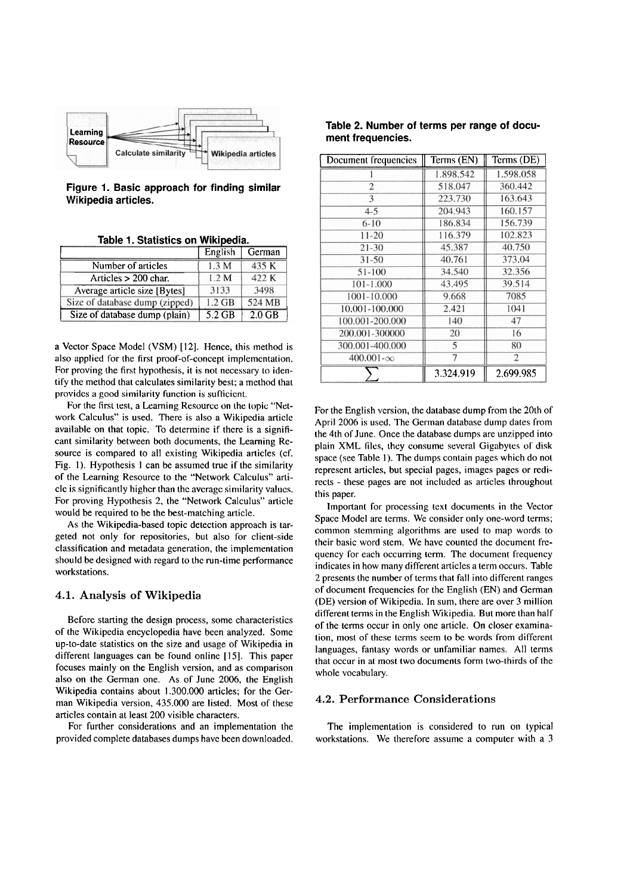

**Figure 1. Basic approach for finding similar Wikipedia articles.** 

**Table 1. Statistics on Wikipedia.** 

|                                | English  | German   |
|--------------------------------|----------|----------|
| Number of articles             | 1.3 M    | 435 K    |
| Articles $> 200$ char.         | 1.2M     | 422K     |
| Average article size [Bytes]   | 3133     | 3498     |
| Size of database dump (zipped) | $1.2$ GB | 524 MB   |
| Size of database dump (plain)  | $5.2$ GB | $2.0$ GB |

a Vector Space Model (VSM) [12]. Hence, this method is also applied for the first proof-of-concept implementation. For proving the first hypothesis, it is not necessary to identify the method that calculates similarity best; a method that providcs a good similarity function is sufticicnt.

For the first test, a Learning Resource on the topic "Network Calculus" is used. There is also a Wikipedia article available on that topic. To determine if there is a significant similarity between both documents, the Learning Resource is compared to all existing Wikipedia articles (cf. Fig. 1). Hypothesis 1 can be assumed true if the similarity of the Learning Resource to the "Network Calculus" article is significantly higher than the average similarity values. For proving Hypothesis 2, the "Network Calculus" article would be required to be the best-matching article.

As the Wikipedia-based topic detection approach is targeted not only for repositories, but also for client-side classification and metadata generation, the implementation should be designed with regard to thc run-time performance workstations.

#### **4.1. Analysis of Wikipedia**

Before starting the design process, some characteristics of the Wikipedia encyclopedia have been analyzed. Some up-to-date statistics on the size and usage of Wikipedia in different languages can be found online [15]. This paper focuses mainly on the English version, and as comparison also on the German one. As of June 2006, the English Wikipedia contains about 1.300.000 articles; for the German Wikipedia version, 435.000 are listed. Most of these articles contain at least 200 visible characters.

For further considerations and an implementation the provided complete databases dumps havc been downloaded.

| Table 2. Number of terms per range of docu- |  |  |  |
|---------------------------------------------|--|--|--|
| ment frequencies.                           |  |  |  |

| <b>Document</b> frequencies | Terms (EN)     | Terms (DE)     |
|-----------------------------|----------------|----------------|
|                             | 1.898.542      | 1.598.058      |
| $\overline{2}$              | 518.047        | 360.442        |
| 3                           | 223.730        | 163.643        |
| $4 - 5$                     | 204.943        | 160.157        |
| $6-10$                      | 186.834        | 156.739        |
| $11 - 20$                   | 116.379        | 102.823        |
| $21 - 30$                   | 45.387         | 40.750         |
| $31 - 50$                   | 40.761         | 373.04         |
| $51 - 100$                  | 34.540         | 32.356         |
| $101 - 1.000$               | 43.495         | 39.514         |
| 1001-10.000                 | 9.668          | 7085           |
| 10.001-100.000              | 2.421          | 1041           |
| 100.001-200.000             | 140            | 47             |
| 200.001-300000              | 20             | 16             |
| 300.001-400.000             | 5              | 80             |
| $400.001 - \infty$          | $\overline{7}$ | $\overline{2}$ |
|                             | 3.324.919      | 2.699.985      |

For the English version, the database dump from the 20th of April 2006 is used. The German database dump dates from the 4th of June. Once the database dumps are unzipped into plain XML files, they consume several Gigabytes of disk space (see Table 1). The dumps contain pages which do not represent articles, but special pages, images pages or redirects - these pages are not included as articles throughout this paper.

Important for processing text documents in the Vector Space Model are terrns. We consider only one-word terms; common stemming algorithms are used to map words 10 their basic word stem. We have counted the document frequency for each occurring term. The document frequency indicates in how many different articles a term occurs. Table 2 presents the number of terms that fall into different ranges of document Frcquencies for the English (EN) and German (DE) version of Wikipedia. In sum, there are over 3 million different terms in the English Wikipedia. But more than half of the terms occur in only one article. On closer examination, most of these tcrins scem to be words Frorn different languages, fantasy words or unfamiliar names. All terms that occur in at most two documents form two-thirds of the whole vocabulary.

## **4.2. Performance Considerations**

The implementation is considered to run on typical workstations. We therefore assume a computer with a 3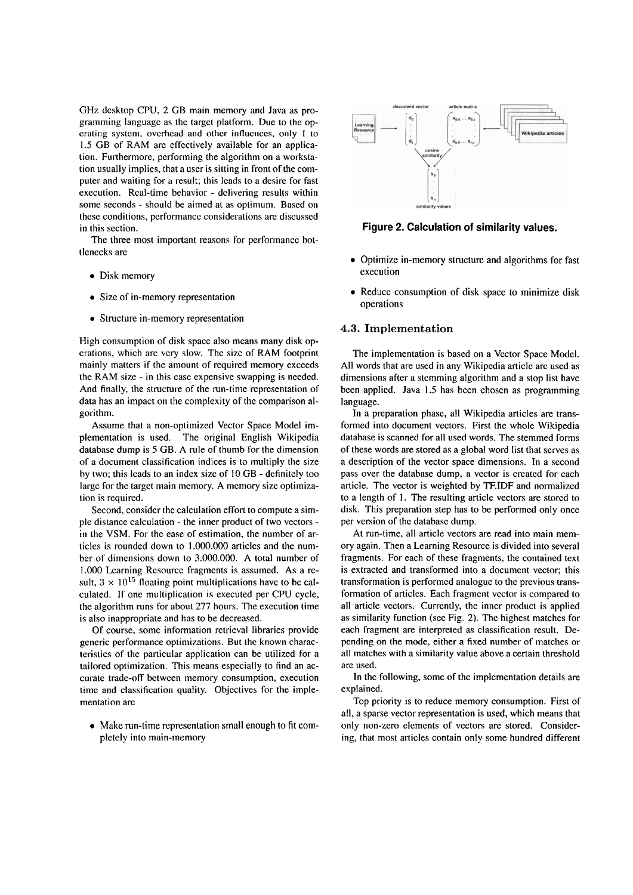GHz desktop CPU. 2 GB main memory and Java as programining language as the target platform. Due to the opcrating system, overhead and other influences, only 1 to 1.5 GB of RAM are effectively available for an application. Furthermore, performing the algorithm on a workstation usually implies, that a user is sitting in front of the computer and waiting for a result; this leads to a desire for fast execution. Real-time behavior - dclivering results within some seconds - should be aimed at as optimum. Based on these conditions, performance considerations are discussed in this section.

The three most important reasons for performancc bottlcnecks arc

- Disk memory
- Size of in-memory representation
- Structure in-memory representation

High consumption of disk space also means many disk operations, which are very slow. The sizc of RAM footprint mainly matters if the amount of required memory exceeds the RAM size - in this case expensive swapping is needed. And finally, the structure of the run-time representation of data has an impact on the complexity of the comparison algorithm.

Assume that a non-optimized Vector Space Model implementation is used. The original English Wikipedia database dump is 5 GB. A rule of thumb for the dimension of a document classification indices is to multiply the size by two; this leads to an index size of I0 GB - definitely too large for the target main memory. A memory size optimization is required.

Second, consider the calculation effort to compute a simple distance calculation - the inner product of two vectors in the VSM. For thc ease of estimation, the number of articles is rounded down to 1.000.000 articles and the number of dimensions down to 3.000.000. A total number of 1.000 Learning Resourcc fragments is assumed. As a result,  $3 \times 10^{15}$  floating point multiplications have to be calculated. If one multiplication is executed per CPU cycle, the algorithm runs for about 277 hours. The execution time is also inappropriate and has to be decreased.

Of Course, somc information retrieval libraries provide generic performance optimizations. But the known characteristics of the particular application can be utilized for a tailored optimization. This means especially to find an accurate trade-off bctwcen memory consumption, execution time and classification quality. Objectives for the implementation are

Make run-time representation small enough to fit completely into main-memory



**Figure 2. Calculation of similarity values.** 

- Optimize in-memory structure and algorithms for fast execution
- Reducc consumption of disk space to minimizc disk operations

## **4.3. Implementation**

The implementation is based on a Vector Space Model. All words that are used in any Wikipedia article are used as dimensions after a stemming algorithm and a stop list have been applied. Java 1.5 has been chosen as programming language.

In a preparation phase, all Wikipedia articles are transformed into document vectors. First the whole Wikipedia database is scanned for all used words. The stemmed forms of these words are stored as a global word list that serves as a description of the vector space dimensions. In a second pass over the database dump, a vector is created for each article. The vector is weighted by EIDF and normalized to a length of 1. The resulting article vectors are stored to disk. This preparation step has to be performed only once per version of thc database dump.

At run-time, all article vectors are read into main memory again. Then a Learning Resource is divided into several fragments. For each of these fragments, the contained text is extracted and transformed into a document vector; this transformation is performed analogue to the previous transformation of articles. Each fragment vector is compared to all article vectors. Currently, the inner product is applied as similarity function (see Fig. 2). The highest matches for each fragment are interpreted as classification result. Depending on the rnode, either a fixed number of matches or all matches with a similarity value above a certain threshold are used.

In the following, some of the implementation details are explained.

Top priority is to reduce memory consumption. First of all, a sparse vector representation is used, which means that only non-zero elements of vectors are stored. Considering, that most articles contain only some hundred different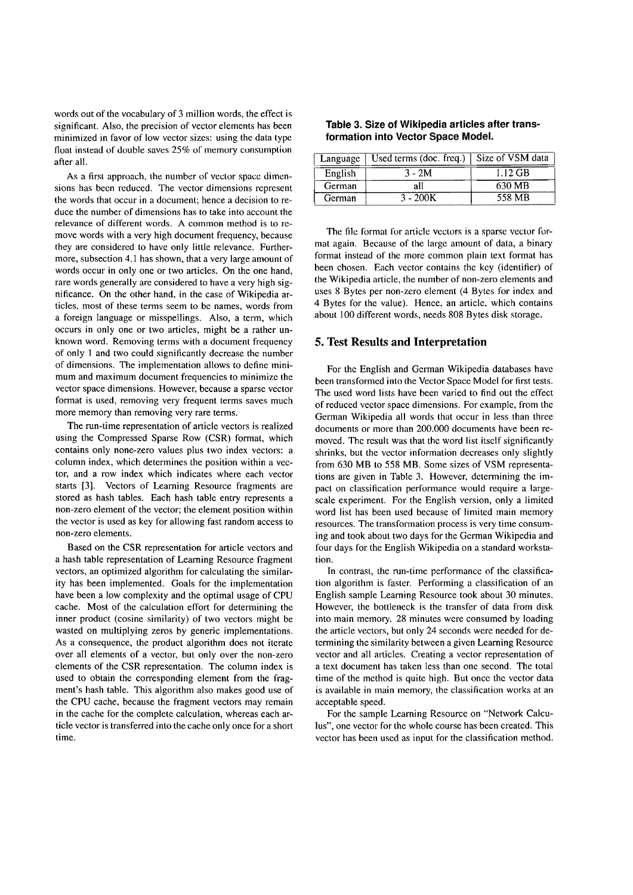words out of the vocabulary of 3 million words, the effect is significant. Also, the precision of vector elements has been minimized in favor of low vector sizes: using the data typc float instead of double saves 25% of memory consurnption after all.

As a first approach, the number of vector space dimensions has becn rcduccd. The vector dimensions represent the words that occur in a document; hence a decision to reduce the number of dimensions has to take into account the relevance of different words. A common method is to remove words with a very high document frequency, because they are considered to have only little relevance. Furthermore, subsection 4.1 has shown, that a very large amouni of words occur in only onc or two articles. On the one hand, rare words generally are considered to have a very high significance. On the other hand, in the case of Wikipedia articles, most of these terms seem to be names, words from a foreign language or misspellings. Also, a term, which occurs in only one or two articles, might be a rather unknown word. Removing terms with a document frequency of only 1 and two could significantly decrease the nurnber of dimensions. The implementation allows to define minimum and maximum document frequencies to minimizc the vector space dimensions. However, because a sparse vector format is used, removing very frequent terms saves much more memory than removing very rare terms.

The run-time representation of article vectors is realized using the Compressed Sparse Row (CSR) format, which contains only none-zero valucs plus two index vectors: a column index, which determines the position within a vector, and a row index which indicates where each vector starts [3]. Vectors of Learning Resource fragments are stored as hash tables. Each hash table entry represents a non-zero element of the vector; the element position within the vector is used as key for allowing fast random access to non-zero elements.

Based on the CSR representation for article vectors and a hash table representation of Learning Resource fragment vectors, an optimized algorithm for calculating the similarity has been implemented. Goals for the implcmentation have been a low complexity and the optimal usage of CPU cache. Most of the calculation effort for determining the inner product (cosine similarity) of two vectors might be wasted on multiplying zeros by generic implementations. As a consequence, the product algorithm does not itcrate over all elements of a vector, but only over the non-zero elements of the CSR representation. The column index is used to obtain the corresponding element from the fragment's hash table. This algorithm also makes good use of the CPU cache, because the fragment vectors may rcmain in the cache for the complete calculation, whereas each article vector is transferred into the cache only once for a short time.

#### **Table 3. Size of Wikipedia articles after transformation into Vector Space Model.**

| Language | Used terms (doc. freq.) | Size of VSM data |
|----------|-------------------------|------------------|
| English  | 3 - 2M                  | $1.12$ GB        |
| German   | aľ                      | 630 MB           |
| German   | $3 - 200K$              | 558 MB           |

The file format for article vectors is a sparse vector format again. Because of the large amount of data, a binary format instead of thc more common plain text format has been chosen. Each vector contains the key (identifier) of the Wikipedia article, the number of non-zero elements and uses 8 Bytes per non-zero element (4 Bytes for index and 4 Bytes for the value). Hence, an article, which contains about 100 different words, needs 808 Bytes disk storage.

## **5. Test Results and Interpretation**

For the English and German Wikipedia databases have been transformed into the Vector Space Model for first tests. The used word Iists have been varied to find out the effect of reduced vector space dimensions. For cxarnple, from thc German Wikipedia all words that occur in less than three documents or more than 200.000 documents have been removcd. Thc rcsult was that thc word list itsclf significantly shrinks, but the vector information decreases only slightly from 630 MB to 558 MB. Some sizes of VSM representations are given in Table 3. However, determining the impaci on classification performance would require a largescale experiment. For the English version, only a limited word list has been used because of limited main memory resources. The transformation process is very time consuming and took about two days for the Gcrman Wikipedia and four days for the English Wikipedia on a standard workstation.

In contrast, the run-time performance of the classification algorithm is faster. Perforrning a classification of an English sample Learning Resource took about 30 minutes. However, the bottleneck is the transfer of data from disk into main memory. 28 minutes were consumed by loading the article vectors, but only 24 seconds were needed for determining the similarity between a given Learning Resource vector and all articles. Creating a vector representation of a text document has taken less than one second. The total time of the method is quite high. But once the vector data is available in main memory, the classification works at an acceptable speed.

For the sample Learning Resource on "Network Calculus", one vector for the whole course has been created. This vector has been used as input for the classification method.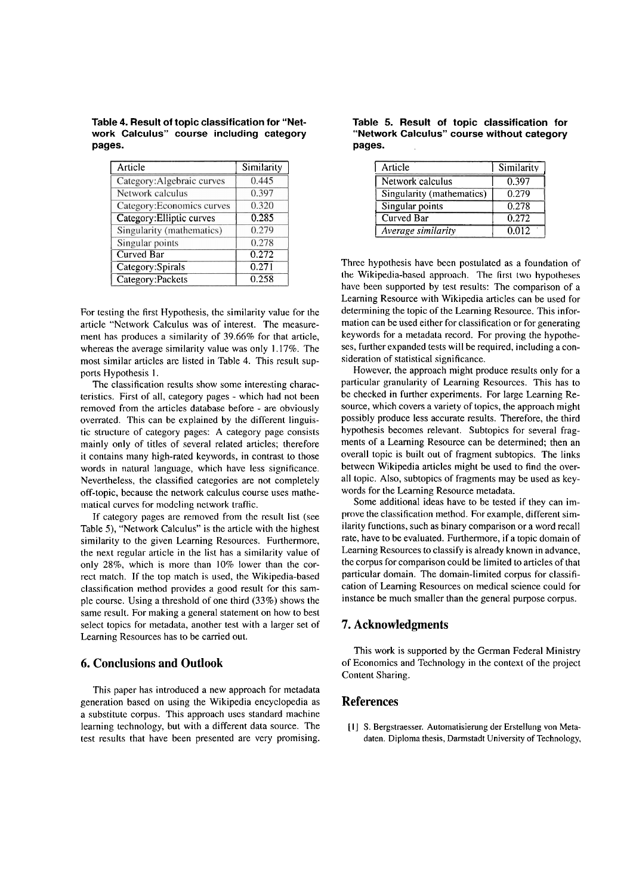**Table 4. Result of topic classification for "Network Calculus" course including category pages.** 

| Article                    | Similarity |
|----------------------------|------------|
| Category: Algebraic curves | 0.445      |
| Network calculus           | 0.397      |
| Category: Economics curves | 0.320      |
| Category: Elliptic curves  | 0.285      |
| Singularity (mathematics)  | 0.279      |
| Singular points            | 0.278      |
| <b>Curved Bar</b>          | 0.272      |
| Category:Spirals           | 0.271      |
| Category: Packets          | 0.258      |

For testing the first Hypothesis, the similarity value for the article "Nctwork Calculus was of interest. The measurement has produces a similarity of 39.66% for that article, whereas the average similarity value was only 1.17%. The most similar articles are listed in Table 4. This result supports Hypothesis 1.

The classification results show some interesting characteristics. First of all, category pages - which had not been removed from the articles database before - are obviously overrated. This can be explained by the different Iinguistic structure of category pages: **A** category page consists mainly only of titles of several related articles; therefore it contains many high-rated keywords, in contrast to those words in natural language, which have less significance. Nevertheless, the classified categories are not completely off-topic, because the network calculus course uses mathematical curves for modeling network traffic.

If category pages are removed from the result list (see Table 5), "Network Calculus" is the article with the highest similarity to the given Learning Resources. Furthermore, the next regular article in the list has a similarity value of only 28%, which is inore than 10% lower than the correct match. If the top match is used, the Wikipedia-based classification method provides a good result for this sample coursc. Using a threshold of one third (33%) shows the same result. For making a general statement on how to best select topics for metadata, another test with a larger set of Learning Resources has to be carried out.

#### **6. Conclusions and Outlook**

This paper has introduced a new approach for metadata generation based on using the Wikipedia encyclopedia as a substitute corpus. This approach uses standard machine learning technology, but with a different data source. The test results that have been presented are very promising.

**Table 5. Result of topic classification for "Network Calculus" course without category pages.** 

| Article                   | Similarity |
|---------------------------|------------|
| Network calculus          | 0.397      |
| Singularity (mathematics) | 0.279      |
| Singular points           | 0.278      |
| Curved Bar                | 0.272      |
| Average similarity        | 0.012      |

Three hypothesis have been postulated as a foundation of the Wikipedia-based approach. The first two hypotheses have been supported by test results: The comparison of a Learning Resource with Wikipedia articles can be used for deterrnining the topic of the Learning Resource. This information can be used either for classification or for generating keywords for a metadata record. For proving the hypotheses, further expanded tests will be required, including a consideration of statistical significance.

However, the approach might produce results only for a particular granularity of Learning Resources. This has to bc checked in further experiments. For large Learning Resource, which covers a variety of topics, the approach might possibly produce less accurate results. Therefore, the third hypothesis becomes relevant. Subtopics for several fragments of a Learning Resource can be determined; then an overall topic is built out of fragment subtopics. The links betwecn Wikipedia articles might be used to find the overall topic. Also, subtopics of fragments may be used as keywords for the Learning Resource metadata.

Some additional ideas have to be tested if they can improve the classification method. For example, different similarity functions, such as binary comparison or a word recall rate, have to be evaluated. Furthermore, if a topic domain of Learning Resources to classify is already known in advance, the corpus for comparison could be limited to articles of that particular domain. The domain-limited corpus for classification of Learning Resources on rnedical science could for instance be much srnaller than the general purpose corpus.

## **7. Acknowledgments**

This work is supported by the Gerrnan Federal Ministry of Economics and Technology in the context of the project Content Sharing.

## **References**

[I] S. Bergstraesser. Automatisierung der Erstellung von Metadaten. Diploma thesis, Darmstadt University of Technology,